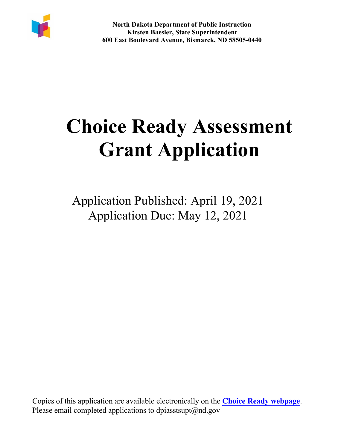

# **Choice Ready Assessment Grant Application**

Application Published: April 19, 2021 Application Due: May 12, 2021

Copies of this application are available electronically on the **Choice Ready [webpage](https://www.nd.gov/dpi/choice-ready-grant-opportunity)**. Please email completed applications to dpiasstsupt $(\partial \text{nd.gov})$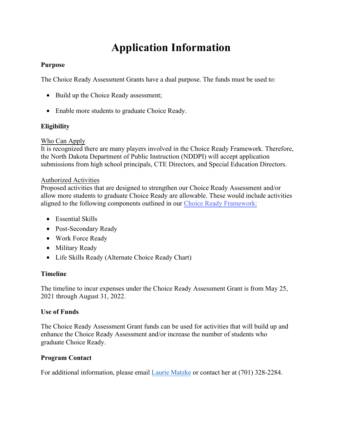## **Application Information**

#### **Purpose**

The Choice Ready Assessment Grants have a dual purpose. The funds must be used to:

- Build up the Choice Ready assessment;
- Enable more students to graduate Choice Ready.

#### **Eligibility**

#### Who Can Apply

 the North Dakota Department of Public Instruction (NDDPI) will accept application It is recognized there are many players involved in the Choice Ready Framework. Therefore, submissions from high school principals, CTE Directors, and Special Education Directors.

#### Authorized Activities

Proposed activities that are designed to strengthen our Choice Ready Assessment and/or allow more students to graduate Choice Ready are allowable. These would include activities aligned to the following components outlined in our [Choice Ready Framework:](https://www.nd.gov/dpi/districtsschools/essa/elements/choice-ready)

- Essential Skills
- Post-Secondary Ready
- Work Force Ready
- Military Ready
- Life Skills Ready (Alternate Choice Ready Chart)

#### **Timeline**

The timeline to incur expenses under the Choice Ready Assessment Grant is from May 25, 2021 through August 31, 2022.

#### **Use of Funds**

The Choice Ready Assessment Grant funds can be used for activities that will build up and enhance the Choice Ready Assessment and/or increase the number of students who graduate Choice Ready.

#### **Program Contact**

For additional information, please email [Laurie Matzke](mailto:lmatzke@nd.gov) or contact her at (701) 328-2284.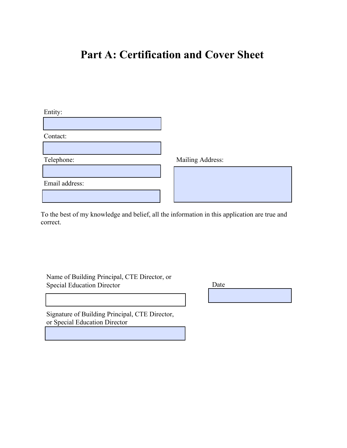### **Part A: Certification and Cover Sheet**

Entity:

Contact:

Telephone: Mailing Address:

Email address:

To the best of my knowledge and belief, all the information in this application are true and correct.

Name of Building Principal, CTE Director, or Special Education Director

Date

Signature of Building Principal, CTE Director, or Special Education Director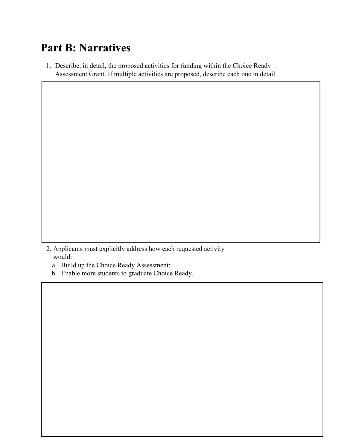### **Part B: Narratives**

1. Describe, in detail, the proposed activities for funding within the Choice Ready Assessment Grant. If multiple activities are proposed, describe each one in detail.

2. Applicants must explicitly address how each requested activity would:

 $\overline{a}$ 

- a. Build up the Choice Ready Assessment;
- b. Enable more students to graduate Choice Ready.